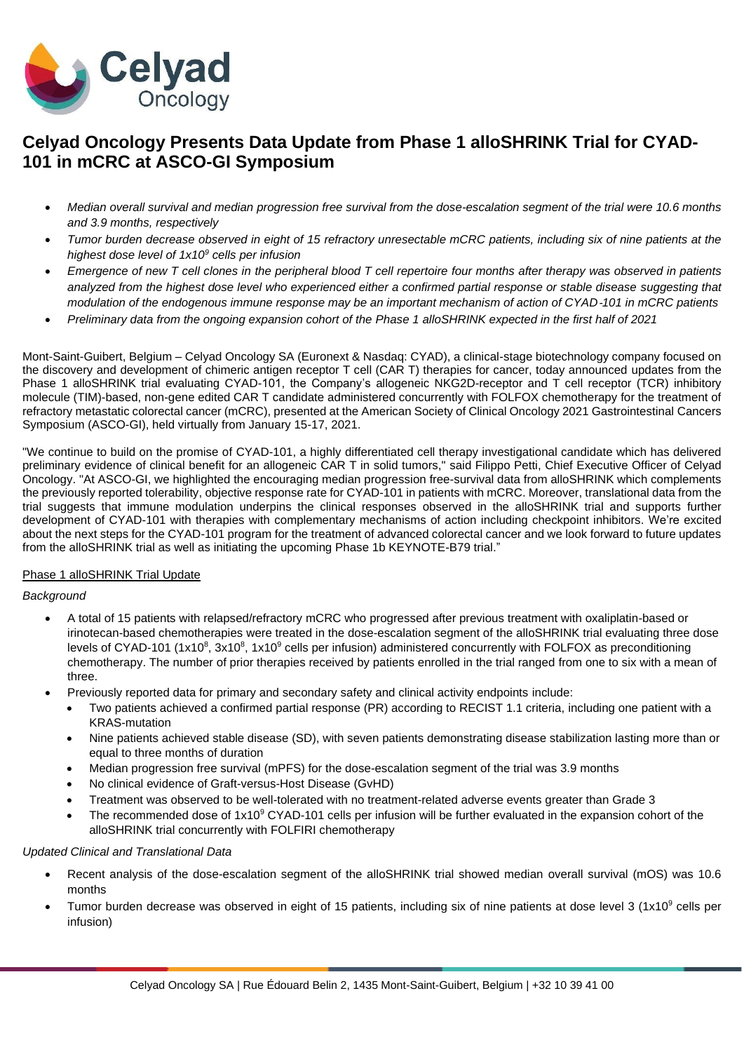

# **Celyad Oncology Presents Data Update from Phase 1 alloSHRINK Trial for CYAD-101 in mCRC at ASCO-GI Symposium**

- *Median overall survival and median progression free survival from the dose-escalation segment of the trial were 10.6 months and 3.9 months, respectively*
- *Tumor burden decrease observed in eight of 15 refractory unresectable mCRC patients, including six of nine patients at the highest dose level of 1x10<sup>9</sup> cells per infusion*
- *Emergence of new T cell clones in the peripheral blood T cell repertoire four months after therapy was observed in patients analyzed from the highest dose level who experienced either a confirmed partial response or stable disease suggesting that modulation of the endogenous immune response may be an important mechanism of action of CYAD*‑*101 in mCRC patients*
- *Preliminary data from the ongoing expansion cohort of the Phase 1 alloSHRINK expected in the first half of 2021*

Mont-Saint-Guibert, Belgium – Celyad Oncology SA (Euronext & Nasdaq: CYAD), a clinical-stage biotechnology company focused on the discovery and development of chimeric antigen receptor T cell (CAR T) therapies for cancer, today announced updates from the Phase 1 alloSHRINK trial evaluating CYAD-101, the Company's allogeneic NKG2D-receptor and T cell receptor (TCR) inhibitory molecule (TIM)-based, non-gene edited CAR T candidate administered concurrently with FOLFOX chemotherapy for the treatment of refractory metastatic colorectal cancer (mCRC), presented at the American Society of Clinical Oncology 2021 Gastrointestinal Cancers Symposium (ASCO-GI), held virtually from January 15-17, 2021.

"We continue to build on the promise of CYAD-101, a highly differentiated cell therapy investigational candidate which has delivered preliminary evidence of clinical benefit for an allogeneic CAR T in solid tumors," said Filippo Petti, Chief Executive Officer of Celyad Oncology. "At ASCO-GI, we highlighted the encouraging median progression free-survival data from alloSHRINK which complements the previously reported tolerability, objective response rate for CYAD-101 in patients with mCRC. Moreover, translational data from the trial suggests that immune modulation underpins the clinical responses observed in the alloSHRINK trial and supports further development of CYAD-101 with therapies with complementary mechanisms of action including checkpoint inhibitors. We're excited about the next steps for the CYAD-101 program for the treatment of advanced colorectal cancer and we look forward to future updates from the alloSHRINK trial as well as initiating the upcoming Phase 1b KEYNOTE-B79 trial."

# Phase 1 alloSHRINK Trial Update

# *Background*

- A total of 15 patients with relapsed/refractory mCRC who progressed after previous treatment with oxaliplatin-based or irinotecan-based chemotherapies were treated in the dose-escalation segment of the alloSHRINK trial evaluating three dose levels of CYAD-101 (1x10<sup>8</sup>, 3x10<sup>8</sup>, 1x10<sup>9</sup> cells per infusion) administered concurrently with FOLFOX as preconditioning chemotherapy. The number of prior therapies received by patients enrolled in the trial ranged from one to six with a mean of three.
- Previously reported data for primary and secondary safety and clinical activity endpoints include:
	- Two patients achieved a confirmed partial response (PR) according to RECIST 1.1 criteria, including one patient with a KRAS-mutation
	- Nine patients achieved stable disease (SD), with seven patients demonstrating disease stabilization lasting more than or equal to three months of duration
	- Median progression free survival (mPFS) for the dose-escalation segment of the trial was 3.9 months
	- No clinical evidence of Graft-versus-Host Disease (GvHD)
	- Treatment was observed to be well-tolerated with no treatment-related adverse events greater than Grade 3
	- The recommended dose of 1x10<sup>9</sup> CYAD-101 cells per infusion will be further evaluated in the expansion cohort of the alloSHRINK trial concurrently with FOLFIRI chemotherapy

# *Updated Clinical and Translational Data*

- Recent analysis of the dose-escalation segment of the alloSHRINK trial showed median overall survival (mOS) was 10.6 months
- Tumor burden decrease was observed in eight of 15 patients, including six of nine patients at dose level 3  $(1x10<sup>9</sup>$  cells per infusion)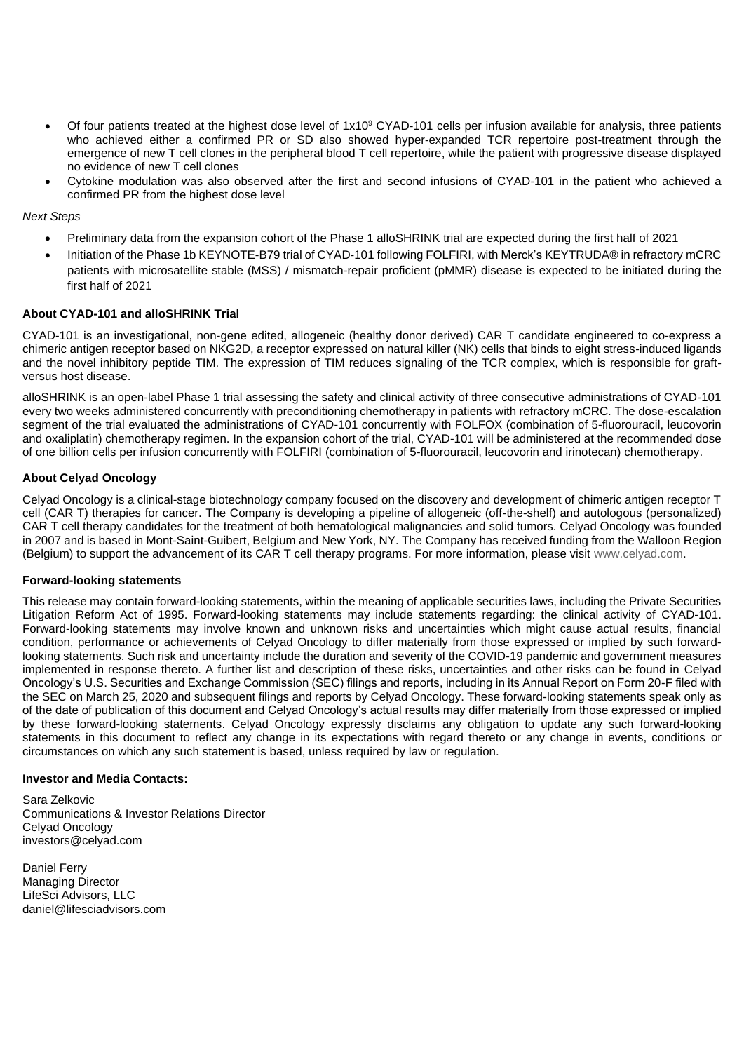- Of four patients treated at the highest dose level of  $1x10<sup>9</sup>$  CYAD-101 cells per infusion available for analysis, three patients who achieved either a confirmed PR or SD also showed hyper-expanded TCR repertoire post-treatment through the emergence of new T cell clones in the peripheral blood T cell repertoire, while the patient with progressive disease displayed no evidence of new T cell clones
- Cytokine modulation was also observed after the first and second infusions of CYAD-101 in the patient who achieved a confirmed PR from the highest dose level

### *Next Steps*

- Preliminary data from the expansion cohort of the Phase 1 alloSHRINK trial are expected during the first half of 2021
- Initiation of the Phase 1b KEYNOTE-B79 trial of CYAD-101 following FOLFIRI, with Merck's KEYTRUDA® in refractory mCRC patients with microsatellite stable (MSS) / mismatch-repair proficient (pMMR) disease is expected to be initiated during the first half of 2021

# **About CYAD-101 and alloSHRINK Trial**

CYAD-101 is an investigational, non-gene edited, allogeneic (healthy donor derived) CAR T candidate engineered to co-express a chimeric antigen receptor based on NKG2D, a receptor expressed on natural killer (NK) cells that binds to eight stress-induced ligands and the novel inhibitory peptide TIM. The expression of TIM reduces signaling of the TCR complex, which is responsible for graftversus host disease.

alloSHRINK is an open-label Phase 1 trial assessing the safety and clinical activity of three consecutive administrations of CYAD-101 every two weeks administered concurrently with preconditioning chemotherapy in patients with refractory mCRC. The dose-escalation segment of the trial evaluated the administrations of CYAD-101 concurrently with FOLFOX (combination of 5-fluorouracil, leucovorin and oxaliplatin) chemotherapy regimen. In the expansion cohort of the trial, CYAD-101 will be administered at the recommended dose of one billion cells per infusion concurrently with FOLFIRI (combination of 5-fluorouracil, leucovorin and irinotecan) chemotherapy.

# **About Celyad Oncology**

Celyad Oncology is a clinical-stage biotechnology company focused on the discovery and development of chimeric antigen receptor T cell (CAR T) therapies for cancer. The Company is developing a pipeline of allogeneic (off-the-shelf) and autologous (personalized) CAR T cell therapy candidates for the treatment of both hematological malignancies and solid tumors. Celyad Oncology was founded in 2007 and is based in Mont-Saint-Guibert, Belgium and New York, NY. The Company has received funding from the Walloon Region (Belgium) to support the advancement of its CAR T cell therapy programs. For more information, please visit [www.celyad.com.](http://www.celyad.com/)

# **Forward-looking statements**

This release may contain forward-looking statements, within the meaning of applicable securities laws, including the Private Securities Litigation Reform Act of 1995. Forward-looking statements may include statements regarding: the clinical activity of CYAD-101. Forward-looking statements may involve known and unknown risks and uncertainties which might cause actual results, financial condition, performance or achievements of Celyad Oncology to differ materially from those expressed or implied by such forwardlooking statements. Such risk and uncertainty include the duration and severity of the COVID-19 pandemic and government measures implemented in response thereto. A further list and description of these risks, uncertainties and other risks can be found in Celyad Oncology's U.S. Securities and Exchange Commission (SEC) filings and reports, including in its Annual Report on Form 20-F filed with the SEC on March 25, 2020 and subsequent filings and reports by Celyad Oncology. These forward-looking statements speak only as of the date of publication of this document and Celyad Oncology's actual results may differ materially from those expressed or implied by these forward-looking statements. Celyad Oncology expressly disclaims any obligation to update any such forward-looking statements in this document to reflect any change in its expectations with regard thereto or any change in events, conditions or circumstances on which any such statement is based, unless required by law or regulation.

# **Investor and Media Contacts:**

Sara Zelkovic Communications & Investor Relations Director Celyad Oncology investors@celyad.com

Daniel Ferry Managing Director LifeSci Advisors, LLC daniel@lifesciadvisors.com